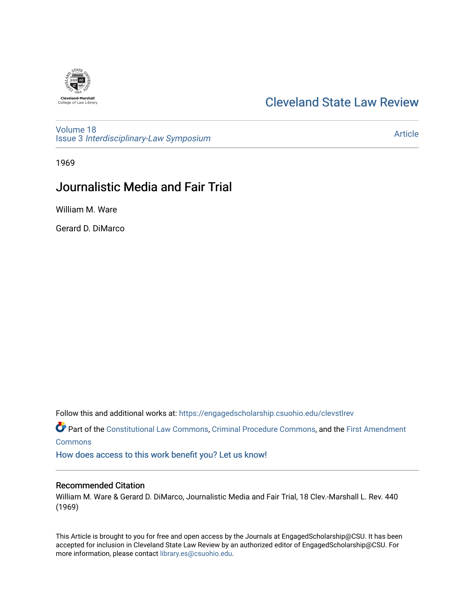## [Cleveland State Law Review](https://engagedscholarship.csuohio.edu/clevstlrev)

[Volume 18](https://engagedscholarship.csuohio.edu/clevstlrev/vol18) Issue 3 [Interdisciplinary-Law Symposium](https://engagedscholarship.csuohio.edu/clevstlrev/vol18/iss3)

[Article](https://engagedscholarship.csuohio.edu/clevstlrev/vol18/iss3/3) 

1969

## Journalistic Media and Fair Trial

William M. Ware

Gerard D. DiMarco

Follow this and additional works at: [https://engagedscholarship.csuohio.edu/clevstlrev](https://engagedscholarship.csuohio.edu/clevstlrev?utm_source=engagedscholarship.csuohio.edu%2Fclevstlrev%2Fvol18%2Fiss3%2F3&utm_medium=PDF&utm_campaign=PDFCoverPages)

Part of the [Constitutional Law Commons,](http://network.bepress.com/hgg/discipline/589?utm_source=engagedscholarship.csuohio.edu%2Fclevstlrev%2Fvol18%2Fiss3%2F3&utm_medium=PDF&utm_campaign=PDFCoverPages) [Criminal Procedure Commons,](http://network.bepress.com/hgg/discipline/1073?utm_source=engagedscholarship.csuohio.edu%2Fclevstlrev%2Fvol18%2Fiss3%2F3&utm_medium=PDF&utm_campaign=PDFCoverPages) and the [First Amendment](http://network.bepress.com/hgg/discipline/1115?utm_source=engagedscholarship.csuohio.edu%2Fclevstlrev%2Fvol18%2Fiss3%2F3&utm_medium=PDF&utm_campaign=PDFCoverPages)  **[Commons](http://network.bepress.com/hgg/discipline/1115?utm_source=engagedscholarship.csuohio.edu%2Fclevstlrev%2Fvol18%2Fiss3%2F3&utm_medium=PDF&utm_campaign=PDFCoverPages)** 

[How does access to this work benefit you? Let us know!](http://library.csuohio.edu/engaged/)

## Recommended Citation

William M. Ware & Gerard D. DiMarco, Journalistic Media and Fair Trial, 18 Clev.-Marshall L. Rev. 440 (1969)

This Article is brought to you for free and open access by the Journals at EngagedScholarship@CSU. It has been accepted for inclusion in Cleveland State Law Review by an authorized editor of EngagedScholarship@CSU. For more information, please contact [library.es@csuohio.edu](mailto:library.es@csuohio.edu).

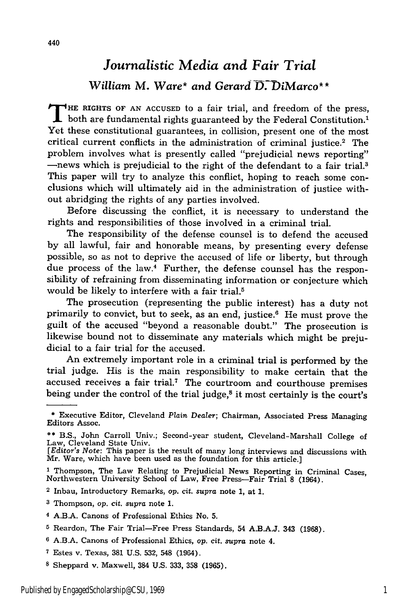## *Journalistic Media and Fair Trial William* M. *Ware\* and Gerard D.-DiMarco\*\**

THE RIGHTS OF AN ACCUSED to a fair trial, and freedom of the press, both are fundamental rights guaranteed by the Federal Constitution. Yet these constitutional guarantees, in collision, present one of the most Yet these constitutional guarantees, in collision, present one of the most critical current conflicts in the administration of criminal justice.<sup>2</sup> The problem involves what is presently called "prejudicial news reporting" -news which is prejudicial to the right of the defendant to a fair trial.<sup>3</sup> This paper will try to analyze this conflict, hoping to reach some conclusions which will ultimately aid in the administration of justice without abridging the rights of any parties involved.

Before discussing the conflict, it is necessary to understand the rights and responsibilities of those involved in a criminal trial.

The responsibility of the defense counsel is to defend the accused by all lawful, fair and honorable means, by presenting every defense possible, so as not to deprive the accused of life or liberty, but through due process of the law.<sup>4</sup> Further, the defense counsel has the responsibility of refraining from disseminating information or conjecture which would be likely to interfere with a fair trial.<sup>5</sup>

The prosecution (representing the public interest) has a duty not primarily to convict, but to seek, as an end, justice.6 He must prove the guilt of the accused "beyond a reasonable doubt." The prosecution is likewise bound not to disseminate any materials which might be prejudicial to a fair trial for the accused.

An extremely important role in a criminal trial is performed by the trial judge. His is the main responsibility to make certain that the accused receives a fair trial.<sup>7</sup> The courtroom and courthouse premises being under the control of the trial judge,<sup>8</sup> it most certainly is the court's

- **\*\*** B.S., John Carroll Univ.; Second-year student, Cleveland-Marshall College of Law, Cleveland State Univ.
- *[Editor's Note:* This paper is the result of many long interviews and discussions with Mr. Ware, which have been used as the foundation for this article.]

2 Inbau, Introductory Remarks, op. cit. supra note 1, at **1.**

- 4 A.B.A. Canons of Professional Ethics No. 5.
- **5** Reardon, The Fair Trial-Free Press Standards, 54 A.B.A.J. 343 (1968).
- **6** A.B.A. Canons of Professional Ethics, op. cit. *supra* note 4.
- **7** Estes v. Texas, 381 U.S. 532, 548 (1964).
- **8** Sheppard v. Maxwell, 384 U.S. 333, 358 (1965).

**<sup>\*</sup>** Executive Editor, Cleveland *Plain Dealer;* Chairman, Associated Press Managing Editors Assoc.

**<sup>1</sup>**Thompson, The Law Relating to Prejudicial News Reporting in Criminal Cases, Northwestern University School of Law, Free Press-Fair Trial 8 (1964).

**<sup>3</sup>** Thompson, *op.* cit. *supra* note 1.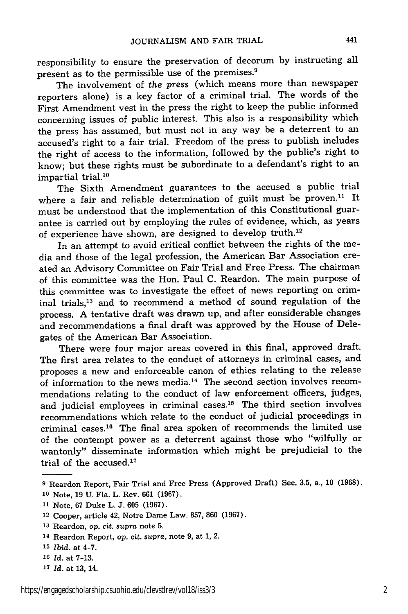responsibility to ensure the preservation of decorum by instructing all present as to the permissible use of the premises. $9$ 

The involvement of *the* press (which means more than newspaper reporters alone) is a key factor of a criminal trial. The words of the First Amendment vest in the press the right to keep the public informed concerning issues of public interest. This also is a responsibility which the press has assumed, but must not in any way be a deterrent to an accused's right to a fair trial. Freedom of the press to publish includes the right of access to the information, followed by the public's right to know; but these rights must be subordinate to a defendant's right to an impartial trial.10

The Sixth Amendment guarantees to the accused a public trial where a fair and reliable determination of guilt must be proven.<sup>11</sup> It must be understood that the implementation of this Constitutional guarantee is carried out by employing the rules of evidence, which, as years of experience have shown, are designed to develop truth.12

In an attempt to avoid critical conflict between the rights of the media and those of the legal profession, the American Bar Association created an Advisory Committee on Fair Trial and Free Press. The chairman of this committee was the Hon. Paul C. Reardon. The main purpose of this committee was to investigate the effect of news reporting on criminal trials,13 and to recommend a method of sound regulation of the process. A tentative draft was drawn up, and after considerable changes and recommendations a final draft was approved by the House of Delegates of the American Bar Association.

There were four major areas covered in this final, approved draft. The first area relates to the conduct of attorneys in criminal cases, and proposes a new and enforceable canon of ethics relating to the release of information to the news media.14 The second section involves recommendations relating to the conduct of law enforcement officers, judges, and judicial employees in criminal cases.<sup>15</sup> The third section involves recommendations which relate to the conduct of judicial proceedings in criminal cases. 16 The final area spoken of recommends the limited use of the contempt power as a deterrent against those who "wilfully or wantonly" disseminate information which might be prejudicial to the trial of the accused. $17$ 

**<sup>9</sup>** Reardon Report, Fair Trial and Free Press (Approved Draft) Sec. 3.5, a., **10** (1968). **<sup>10</sup>**Note, 19 U. Fla. L. Rev. 661 (1967).

**<sup>11</sup>**Note, 67 Duke L. J. **605** (1967).

<sup>12</sup> Cooper, article 42, Notre Dame Law. 857, 860 (1967).

**<sup>13</sup>**Reardon, *op.* cit. *supra* note 5.

<sup>14</sup> Reardon Report, *op.* cit. *supra,* note 9, at 1, 2.

*<sup>15</sup>*Ibid. at 4-7.

**<sup>10</sup>***Id.* at 7-13.

**<sup>17</sup>***Id.* at 13, 14.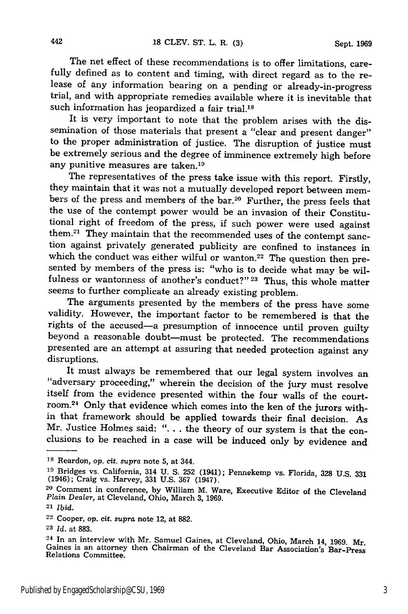The net effect of these recommendations is to offer limitations, carefully defined as to content and timing, with direct regard as to the release of any information bearing on a pending or already-in-progress trial, and with appropriate remedies available where it is inevitable that such information has jeopardized a fair trial.<sup>18</sup>

It is very important to note that the problem arises with the dissemination of those materials that present a "clear and present danger" to the proper administration of justice. The disruption of justice must be extremely serious and the degree of imminence extremely high before any punitive measures are taken.<sup>19</sup>

The representatives of the press take issue with this report. Firstly, they maintain that it was not a mutually developed report between members of the press and members of the bar.20 Further, the press feels that the use of the contempt power would be an invasion of their Constitutional right of freedom of the press, if such power were used against them.<sup>21</sup> They maintain that the recommended uses of the contempt sanction against privately generated publicity are confined to instances in which the conduct was either wilful or wanton.<sup>22</sup> The question then presented by members of the press is: "who is to decide what may be wilfulness or wantonness of another's conduct?" **23** Thus, this whole matter seems to further complicate an already existing problem.

The arguments presented by the members of the press have some validity. However, the important factor to be remembered is that the rights of the accused-a presumption of innocence until proven guilty beyond a reasonable doubt-must be protected. The recommendations presented are an attempt at assuring that needed protection against any disruptions.

It must always be remembered that our legal system involves an "adversary proceeding," wherein the decision of the jury must resolve itself from the evidence presented within the four walls of the court-<br>room.<sup>24</sup> Only that evidence which comes into the ken of the jurors within that framework should be applied towards their final decision. As Mr. Justice Holmes said: ". **.** . the theory of our system is that the conclusions to be reached in a case will be induced only by evidence and

442

**<sup>18</sup>**Reardon, *op. cit. supra* note 5, at 344.

**<sup>19</sup>**Bridges vs. California, 314 U. **S.** 252 (1941); Pennekemp vs. Florida, 328 U.S. 331 (1946); Craig vs. Harvey, 331 U.S. 367 (1947).

**<sup>20</sup>**Comment in conference, by William M. Ware, Executive Editor of the Cleveland Plain *Dealer,* at Cleveland, Ohio, March 3, 1969.

<sup>21</sup>*Ibid.*

<sup>22</sup> Cooper, *op.* cit. *supra* note 12, at 882.

**<sup>23</sup>***Id.* at 883.

**<sup>24</sup>**In an interview with Mr. Samuel Gaines, at Cleveland, Ohio, March 14, 1969. Mr. Gaines is an attorney then Chairman of the Cleveland Bar Association's Bar-Press Relations Committee.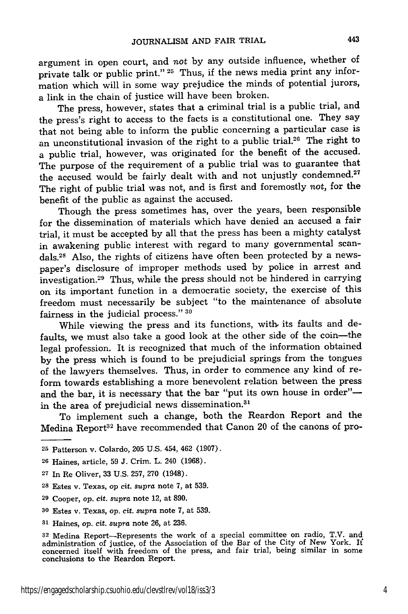argument in open court, and *not* by any outside influence, whether of private talk or public print." **25** Thus, if the news media print any information which will in some way prejudice the minds of potential jurors, a link in the chain of justice will have been broken.

The press, however, states that a criminal trial is a public trial, and the press's right to access to the facts is a constitutional one. They say that not being able to inform the public concerning a particular case is an unconstitutional invasion of the right to a public trial.26 The right to a public trial, however, was originated for the benefit of the accused. The purpose of the requirement of a public trial was to guarantee that the accused would be fairly dealt with and not unjustly condemned.<sup>27</sup> The right of public trial was not, and is first and foremostly *not,* for the benefit of the public as against the accused.

Though the press sometimes has, over the years, been responsible for the dissemination of materials which have denied an accused a fair trial, it must be accepted by all that the press has been a mighty catalyst in awakening public interest with regard to many governmental scandals.<sup>28</sup> Also, the rights of citizens have often been protected by a newspaper's disclosure of improper methods used by police in arrest and investigation.29 Thus, while the press should not be hindered in carrying on its important function in a democratic society, the exercise of this freedom must necessarily be subject "to the maintenance of absolute fairness in the judicial process." **<sup>30</sup>**

While viewing the press and its functions, with its faults and defaults, we must also take a good look at the other side of the coin-the legal profession. It is recognized that much of the information obtained by the press which is found to be prejudicial springs from the tongues of the lawyers themselves. Thus, in order to commence any kind of reform towards establishing a more benevolent relation between the press and the bar, it is necessary that the bar "put its own house in order"in the area of prejudicial news dissemination.<sup>31</sup>

To implement such a change, both the Reardon Report and the Medina Report<sup>32</sup> have recommended that Canon 20 of the canons of pro-

**<sup>25</sup>**Patterson v. Colardo, 205 U.S. 454, 462 (1907).

**<sup>26</sup>**Haines, article, 59 J. Crim. L. 240 (1968).

**<sup>27</sup>**In Re Oliver, 33 U.S. 257, 270 (1948).

<sup>28</sup> Estes v. Texas, op cit. *supra* note 7, at 539.

**<sup>29</sup>**Cooper, op. cit. *supra* note 12, at 890.

**<sup>30</sup>**Estes v. Texas, op. cit. *supra* note 7, at 539.

**<sup>31</sup>**Haines, *op. cit. supra* note 26, at 236.

**<sup>32</sup>**Medina Report-Represents the work of a special committee on radio, T.V. and administration of justice, of the Association of the Bar of the City of New York. **If** concerned itself with freedom of the press, and fair trial, being similar in some conclusions to the Reardon Report.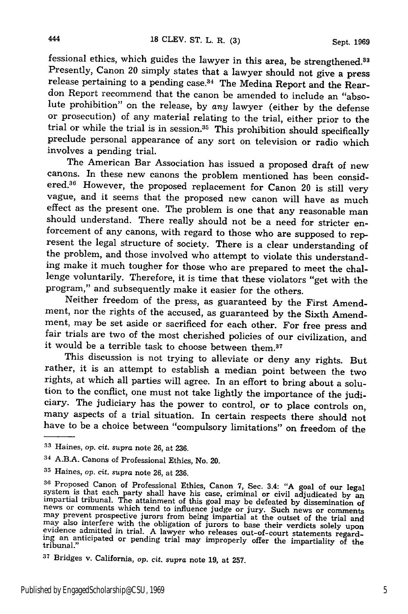fessional ethics, which guides the lawyer in this area, be strengthened.<sup>33</sup> Presently, Canon 20 simply states that a lawyer should not give a press release pertaining to a pending case.<sup>34</sup> The Medina Report and the Reardon Report recommend that the canon be amended to include an "absolute prohibition" on the release, by *any* lawyer (either by the defense or prosecution) of any material relating to the trial, either prior to the trial or while the trial is in session.<sup>35</sup> This prohibition should specifically preclude personal appearance of any sort on television or radio which involves a pending trial.

The American Bar Association has issued a proposed draft of new canons. In these new canons the problem mentioned has been considered.36 However, the proposed replacement for Canon 20 is still very vague, and it seems that the proposed new canon will have as much effect as the present one. The problem is one that any reasonable man should understand. There really should not be a need for stricter en- forcement of any canons, with regard to those who are supposed to represent the legal structure of society. There is a clear understanding of the problem, and those involved who attempt to violate this understanding make it much tougher for those who are prepared to meet the chal- lenge voluntarily. Therefore, it is time that these violators "get with the program," and subsequently make it easier for the others.

Neither freedom of the press, as guaranteed by the First Amendment, nor the rights of the accused, as guaranteed by the Sixth Amendment, may be set aside or sacrificed for each other. For free press and fair trials are two of the most cherished policies of our civilization, and it would be a terrible task to choose between them.37

This discussion is not trying to alleviate or deny any rights. But rather, it is an attempt to establish a median point between the two rights, at which all parties will agree. In an effort to bring about a solution to the conflict, one must not take lightly the importance of the judi- ciary. The judiciary has the power to control, or to place controls on, many aspects of a trial situation. In certain respects there should not have to be a choice between "compulsory limitations" on freedom of the

**<sup>33</sup>**Haines, *op. cit. supra* note 26, at 236.

<sup>34</sup> A.B.A. Canons of Professional Ethics, No. 20.

**<sup>35</sup>**Haines, *op. cit. supra* note 26, at 236.

<sup>&</sup>lt;sup>36</sup> Proposed Canon of Professional Ethics, Canon 7, Sec. 3.4: "A goal of our legal<br>system is that each party shall have his case, criminal or civil adjudicated by an<br>impartial tribunal. The attainment of this goal may be

**<sup>37</sup>**Bridges v. California, op. cit. supra note 19, at 257.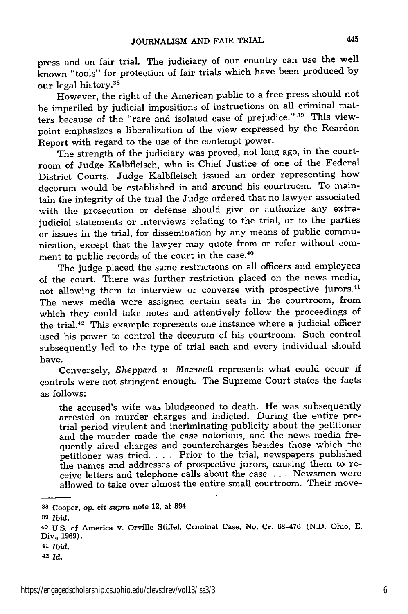press and on fair trial. The judiciary of our country can use the well known "tools" for protection of fair trials which have been produced by our legal history.38

However, the right of the American public to a free press should not be imperiled by judicial impositions of instructions on all criminal matters because of the "rare and isolated case of prejudice." **30** This viewpoint emphasizes a liberalization of the view expressed by the Reardon Report with regard to the use of the contempt power.

The strength of the judiciary was proved, not long ago, in the courtroom of Judge Kalbfleisch, who is Chief Justice of one of the Federal District Courts. Judge Kalbfleisch issued an order representing how decorum would be established in and around his courtroom. To maintain the integrity of the trial the Judge ordered that no lawyer associated with the prosecution or defense should give or authorize any extrajudicial statements or interviews relating to the trial, or to the parties or issues in the trial, for dissemination by any means of public communication, except that the lawyer may quote from or refer without comment to public records of the court in the case.<sup>40</sup>

The judge placed the same restrictions on all officers and employees of the court. There was further restriction placed on the news media, not allowing them to interview or converse with prospective jurors.<sup>41</sup> The news media were assigned certain seats in the courtroom, from which they could take notes and attentively follow the proceedings of the trial.42 This example represents one instance where a judicial officer used his power to control the decorum of his courtroom. Such control subsequently led to the type of trial each and every individual should have.

Conversely, *Sheppard v. Maxwell* represents what could occur if controls were not stringent enough. The Supreme Court states the facts as follows:

the accused's wife was bludgeoned to death. He was subsequently arrested on murder charges and indicted. During the entire pretrial period virulent and incriminating publicity about the petitioner and the murder made the case notorious, and the news media frequently aired charges and countercharges besides those which the petitioner was tried. . . . Prior to the trial, newspapers published the names and addresses of prospective jurors, causing them to receive letters and telephone calls about the case **....** Newsmen were allowed to take over almost the entire small courtroom. Their move-

- **<sup>41</sup>Ibid.**
- **42** *Id.*

**<sup>38</sup>**Cooper, *op. cit supra* note 12, **at 894.**

**<sup>39</sup>***Ibid.*

**<sup>40</sup> U.S.** of America v. Orville Stiffel, Criminal Case, **No. Cr. 68-476 (N.D.** Ohio, **E.** Div., **1969).**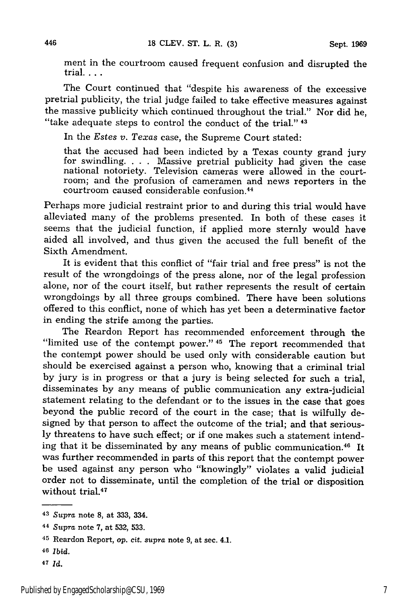ment in the courtroom caused frequent confusion and disrupted the **trial....**

The Court continued that "despite his awareness of the excessive pretrial publicity, the trial judge failed to take effective measures against the massive publicity which continued throughout the trial." Nor did he, "take adequate steps to control the conduct of the trial." **43**

In the *Estes v. Texas* case, the Supreme Court stated:

that the accused had been indicted by a Texas county grand jury for swindling. . . . Massive pretrial publicity had given the case national notoriety. Television cameras were allowed in the courtroom; and the profusion of cameramen and news reporters in the courtroom caused considerable confusion. <sup>44</sup>

Perhaps more judicial restraint prior to and during this trial would have alleviated many of the problems presented. In both of these cases it seems that the judicial function, if applied more sternly would have aided all involved, and thus given the accused the full benefit of the Sixth Amendment.

It is evident that this conflict of "fair trial and free press" is not the result of the wrongdoings of the press alone, nor of the legal profession alone, nor of the court itself, but rather represents the result of certain wrongdoings by all three groups combined. There have been solutions offered to this conflict, none of which has yet been a determinative factor in ending the strife among the parties.

The Reardon Report has recommended enforcement through the "limited use of the contempt power." **45** The report recommended that the contempt power should be used only with considerable caution but should be exercised against a person who, knowing that a criminal trial by jury is in progress or that a jury is being selected for such a trial, disseminates by any means of public communication any extra-judicial statement relating to the defendant or to the issues in the case that goes beyond the public record of the court in the case; that is wilfully designed by that person to affect the outcome of the trial; and that seriously threatens to have such effect; or if one makes such a statement intending that it be disseminated by any means of public communication. 46 It was further recommended in parts of this report that the contempt power be used against any person who "knowingly" violates a valid judicial order not to disseminate, until the completion of the trial or disposition without trial.<sup>47</sup>

*<sup>43</sup>Supra* **note 8, at 333, 334.**

*<sup>44</sup> Supra* note **7,** at **532, 533.**

<sup>45</sup> Reardon Report, op. cit. *supra* note **9,** at sec. 4.1.

<sup>46</sup>*Ibid.*

*<sup>47</sup>* **Id.**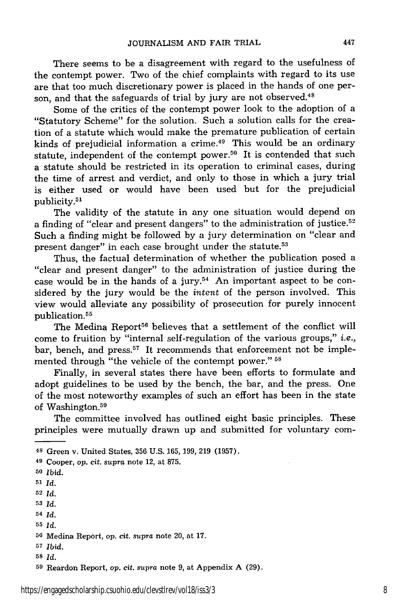There seems to be a disagreement with regard to the usefulness of the contempt power. Two of the chief complaints with regard to its use are that too much discretionary power is placed in the hands of one person, and that the safeguards of trial by jury are not observed.<sup>48</sup>

Some of the critics of the contempt power look to the adoption of a "Statutory Scheme" for the solution. Such a solution calls for the creation of a statute which would make the premature publication of certain kinds of prejudicial information a crime.<sup>49</sup> This would be an ordinary statute, independent of the contempt power.<sup>50</sup> It is contended that such a statute should be restricted in its operation to criminal cases, during the time of arrest and verdict, and only to those in which a jury trial is either used or would have been used but for the prejudicial publicity.<sup>51</sup>

The validity of the statute in any one situation would depend on a finding of "clear and present dangers" to the administration of justice.52 Such a finding might be followed by a jury determination on "clear and present danger" in each case brought under the statute.<sup>53</sup>

Thus, the factual determination of whether the publication posed a "clear and present danger" to the administration of justice during the case would be in the hands of a jury.<sup>54</sup> An important aspect to be considered by the jury would be the *intent* of the person involved. This view would alleviate any possibility of prosecution for purely innocent publication.<sup>55</sup>

The Medina Report<sup>56</sup> believes that a settlement of the conflict will come to fruition by "internal self-regulation of the various groups," *i.e.,* bar, bench, and press.<sup>57</sup> It recommends that enforcement not be implemented through "the vehicle of the contempt power." **<sup>58</sup>**

Finally, in several states there have been efforts to formulate and adopt guidelines to be used by the bench, the bar, and the press. One of the most noteworthy examples of such an effort has been in the state of Washington.<sup>59</sup>

The committee involved has outlined eight basic principles. These principles were mutually drawn up and submitted for voluntary com-

- *<sup>53</sup>Id.*
- *54 Id.*

- **<sup>57</sup>***Ibid.*
- **<sup>58</sup>***Id.*

<sup>48</sup> Green v. United States, 356 U.S. 165, 199, 219 (1957).

<sup>49</sup> Cooper, op. cit. *supra* note 12, at 875.

**<sup>50</sup>***Ibid.*

**<sup>51</sup>** *Id.*

**<sup>52</sup>***Id.*

*<sup>55</sup>Id.*

**<sup>56</sup>**Medina Report, op. cit. *supra* note 20, at 17.

**<sup>59</sup>**Reardon Report, op. cit. *supra* note 9, at Appendix A (29).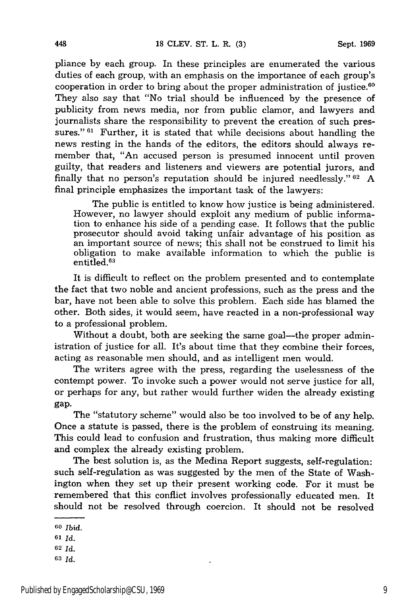pliance by each group. In these principles are enumerated the various duties of each group, with an emphasis on the importance of each group's cooperation in order to bring about the proper administration of justice. $60$ They also say that "No trial should be influenced by the presence of publicity from news media, nor from public clamor, and lawyers and journalists share the responsibility to prevent the creation of such pressures." **61** Further, it is stated that while decisions about handling the news resting in the hands of the editors, the editors should always remember that, "An accused person is presumed innocent until proven guilty, that readers and listeners and viewers are potential jurors, and finally that no person's reputation should be injured needlessly." **62** A final principle emphasizes the important task of the lawyers:

The public is entitled to know how justice is being administered. However, no lawyer should exploit any medium of public information to enhance his side of a pending case. It follows that the public prosecutor should avoid taking unfair advantage of his position as an important source of news; this shall not be construed to limit his obligation to make available information to which the public is entitled. $^{63}$ 

It is difficult to reflect on the problem presented and to contemplate the fact that two noble and ancient professions, such as the press and the bar, have not been able to solve this problem. Each side has blamed the other. Both sides, it would seem, have reacted in a non-professional way to a professional problem.

Without a doubt, both are seeking the same goal—the proper administration of justice for all. It's about time that they combine their forces, acting as reasonable men should, and as intelligent men would.

The writers agree with the press, regarding the uselessness of the contempt power. To invoke such a power would not serve justice for all, or perhaps for any, but rather would further widen the already existing gap.

The "statutory scheme" would also be too involved to be of any help. Once a statute is passed, there is the problem of construing its meaning. This could lead to confusion and frustration, thus making more difficult and complex the already existing problem.

The best solution is, as the Medina Report suggests, self-regulation: such self-regulation as was suggested by the men of the State of Washington when they set up their present working code. For it must be remembered that this conflict involves professionally educated men. It should not be resolved through coercion. It should not be resolved

- **<sup>62</sup>***Id.*
- **63 Id.**

**<sup>60</sup>***Ibid.*

**<sup>61</sup>** *Id.*